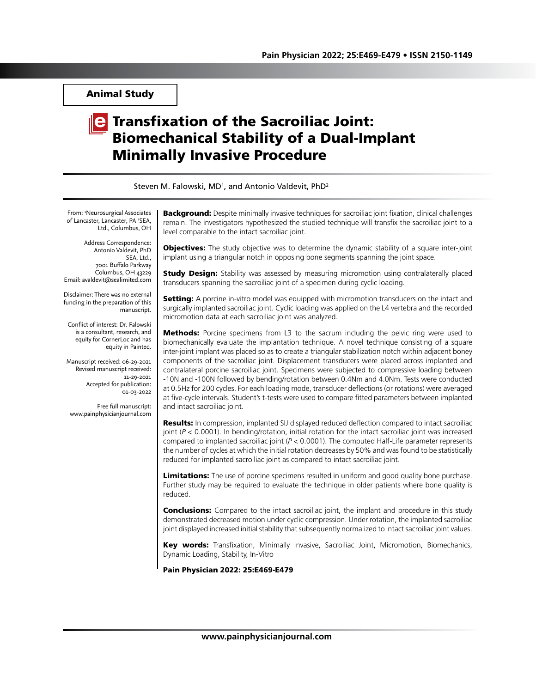Animal Study

# $\|$ e Transfixation of the Sacroiliac Joint: Biomechanical Stability of a Dual-Implant Minimally Invasive Procedure

| Steven M. Falowski, MD <sup>1</sup> , and Antonio Valdevit, PhD <sup>2</sup>                                                                                                                                                                                                                                                                                                                              |                                                                                                                                                                                                                                                                                                                                                                                                                                                                                                                                                                                                                                                                                                                                                                                                                                                         |
|-----------------------------------------------------------------------------------------------------------------------------------------------------------------------------------------------------------------------------------------------------------------------------------------------------------------------------------------------------------------------------------------------------------|---------------------------------------------------------------------------------------------------------------------------------------------------------------------------------------------------------------------------------------------------------------------------------------------------------------------------------------------------------------------------------------------------------------------------------------------------------------------------------------------------------------------------------------------------------------------------------------------------------------------------------------------------------------------------------------------------------------------------------------------------------------------------------------------------------------------------------------------------------|
| From: <sup>1</sup> Neurosurgical Associates<br>of Lancaster, Lancaster, PA <sup>2</sup> SEA,<br>Ltd., Columbus, OH                                                                                                                                                                                                                                                                                        | Background: Despite minimally invasive techniques for sacroiliac joint fixation, clinical challenges<br>remain. The investigators hypothesized the studied technique will transfix the sacroiliac joint to a<br>level comparable to the intact sacroiliac joint.                                                                                                                                                                                                                                                                                                                                                                                                                                                                                                                                                                                        |
| Address Correspondence:<br>Antonio Valdevit, PhD<br>SEA, Ltd.,<br>7001 Buffalo Parkway<br>Columbus, OH 43229<br>Email: avaldevit@sealimited.com                                                                                                                                                                                                                                                           | <b>Objectives:</b> The study objective was to determine the dynamic stability of a square inter-joint<br>implant using a triangular notch in opposing bone segments spanning the joint space.<br><b>Study Design:</b> Stability was assessed by measuring micromotion using contralaterally placed<br>transducers spanning the sacroiliac joint of a specimen during cyclic loading.                                                                                                                                                                                                                                                                                                                                                                                                                                                                    |
| Disclaimer: There was no external<br>funding in the preparation of this<br>manuscript.<br>Conflict of interest: Dr. Falowski<br>is a consultant, research, and<br>equity for CornerLoc and has<br>equity in Painteq.<br>Manuscript received: 06-29-2021<br>Revised manuscript received:<br>11-29-2021<br>Accepted for publication:<br>01-03-2022<br>Free full manuscript:<br>www.painphysicianjournal.com | Setting: A porcine in-vitro model was equipped with micromotion transducers on the intact and<br>surgically implanted sacroiliac joint. Cyclic loading was applied on the L4 vertebra and the recorded<br>micromotion data at each sacroiliac joint was analyzed.                                                                                                                                                                                                                                                                                                                                                                                                                                                                                                                                                                                       |
|                                                                                                                                                                                                                                                                                                                                                                                                           | <b>Methods:</b> Porcine specimens from L3 to the sacrum including the pelvic ring were used to<br>biomechanically evaluate the implantation technique. A novel technique consisting of a square<br>inter-joint implant was placed so as to create a triangular stabilization notch within adjacent boney<br>components of the sacroiliac joint. Displacement transducers were placed across implanted and<br>contralateral porcine sacroiliac joint. Specimens were subjected to compressive loading between<br>-10N and -100N followed by bending/rotation between 0.4Nm and 4.0Nm. Tests were conducted<br>at 0.5Hz for 200 cycles. For each loading mode, transducer deflections (or rotations) were averaged<br>at five-cycle intervals. Student's t-tests were used to compare fitted parameters between implanted<br>and intact sacroiliac joint. |
|                                                                                                                                                                                                                                                                                                                                                                                                           | Results: In compression, implanted SIJ displayed reduced deflection compared to intact sacroiliac<br>joint ( $P < 0.0001$ ). In bending/rotation, initial rotation for the intact sacroiliac joint was increased<br>compared to implanted sacroiliac joint ( $P < 0.0001$ ). The computed Half-Life parameter represents<br>the number of cycles at which the initial rotation decreases by 50% and was found to be statistically<br>reduced for implanted sacroiliac joint as compared to intact sacroiliac joint.                                                                                                                                                                                                                                                                                                                                     |
|                                                                                                                                                                                                                                                                                                                                                                                                           | Limitations: The use of porcine specimens resulted in uniform and good quality bone purchase.<br>Further study may be required to evaluate the technique in older patients where bone quality is<br>reduced.                                                                                                                                                                                                                                                                                                                                                                                                                                                                                                                                                                                                                                            |
|                                                                                                                                                                                                                                                                                                                                                                                                           | <b>Conclusions:</b> Compared to the intact sacroiliac joint, the implant and procedure in this study<br>demonstrated decreased motion under cyclic compression. Under rotation, the implanted sacroiliac<br>joint displayed increased initial stability that subsequently normalized to intact sacroiliac joint values.                                                                                                                                                                                                                                                                                                                                                                                                                                                                                                                                 |
|                                                                                                                                                                                                                                                                                                                                                                                                           | Key words: Transfixation, Minimally invasive, Sacroiliac Joint, Micromotion, Biomechanics,<br>Dynamic Loading, Stability, In-Vitro                                                                                                                                                                                                                                                                                                                                                                                                                                                                                                                                                                                                                                                                                                                      |
|                                                                                                                                                                                                                                                                                                                                                                                                           | Pain Physician 2022: 25:E469-E479                                                                                                                                                                                                                                                                                                                                                                                                                                                                                                                                                                                                                                                                                                                                                                                                                       |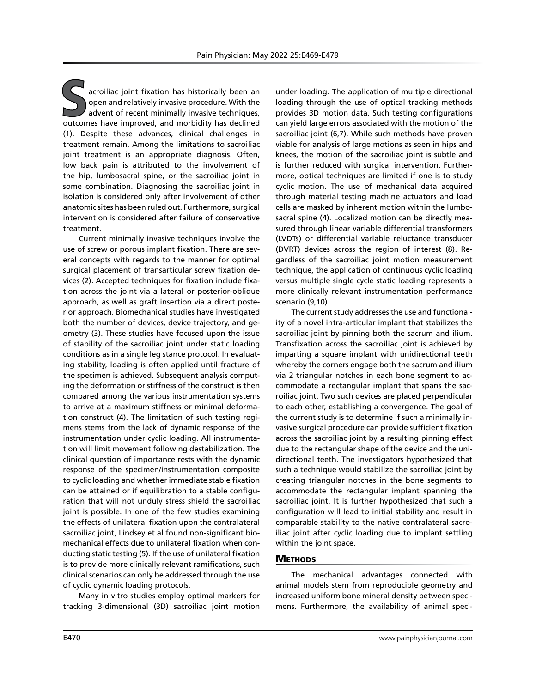acroiliac joint fixation has historically been an open and relatively invasive procedure. With the advent of recent minimally invasive techniques, outcomes have improved, and morbidity has declined (1). Despite these advances, clinical challenges in treatment remain. Among the limitations to sacroiliac joint treatment is an appropriate diagnosis. Often, low back pain is attributed to the involvement of the hip, lumbosacral spine, or the sacroiliac joint in some combination. Diagnosing the sacroiliac joint in isolation is considered only after involvement of other anatomic sites has been ruled out. Furthermore, surgical intervention is considered after failure of conservative treatment.

Current minimally invasive techniques involve the use of screw or porous implant fixation. There are several concepts with regards to the manner for optimal surgical placement of transarticular screw fixation devices (2). Accepted techniques for fixation include fixation across the joint via a lateral or posterior-oblique approach, as well as graft insertion via a direct posterior approach. Biomechanical studies have investigated both the number of devices, device trajectory, and geometry (3). These studies have focused upon the issue of stability of the sacroiliac joint under static loading conditions as in a single leg stance protocol. In evaluating stability, loading is often applied until fracture of the specimen is achieved. Subsequent analysis computing the deformation or stiffness of the construct is then compared among the various instrumentation systems to arrive at a maximum stiffness or minimal deformation construct (4). The limitation of such testing regimens stems from the lack of dynamic response of the instrumentation under cyclic loading. All instrumentation will limit movement following destabilization. The clinical question of importance rests with the dynamic response of the specimen/instrumentation composite to cyclic loading and whether immediate stable fixation can be attained or if equilibration to a stable configuration that will not unduly stress shield the sacroiliac joint is possible. In one of the few studies examining the effects of unilateral fixation upon the contralateral sacroiliac joint, Lindsey et al found non-significant biomechanical effects due to unilateral fixation when conducting static testing (5). If the use of unilateral fixation is to provide more clinically relevant ramifications, such clinical scenarios can only be addressed through the use of cyclic dynamic loading protocols.

Many in vitro studies employ optimal markers for tracking 3-dimensional (3D) sacroiliac joint motion

under loading. The application of multiple directional loading through the use of optical tracking methods provides 3D motion data. Such testing configurations can yield large errors associated with the motion of the sacroiliac joint (6,7). While such methods have proven viable for analysis of large motions as seen in hips and knees, the motion of the sacroiliac joint is subtle and is further reduced with surgical intervention. Furthermore, optical techniques are limited if one is to study cyclic motion. The use of mechanical data acquired through material testing machine actuators and load cells are masked by inherent motion within the lumbosacral spine (4). Localized motion can be directly measured through linear variable differential transformers (LVDTs) or differential variable reluctance transducer (DVRT) devices across the region of interest (8). Regardless of the sacroiliac joint motion measurement technique, the application of continuous cyclic loading versus multiple single cycle static loading represents a more clinically relevant instrumentation performance scenario (9,10).

The current study addresses the use and functionality of a novel intra-articular implant that stabilizes the sacroiliac joint by pinning both the sacrum and ilium. Transfixation across the sacroiliac joint is achieved by imparting a square implant with unidirectional teeth whereby the corners engage both the sacrum and ilium via 2 triangular notches in each bone segment to accommodate a rectangular implant that spans the sacroiliac joint. Two such devices are placed perpendicular to each other, establishing a convergence. The goal of the current study is to determine if such a minimally invasive surgical procedure can provide sufficient fixation across the sacroiliac joint by a resulting pinning effect due to the rectangular shape of the device and the unidirectional teeth. The investigators hypothesized that such a technique would stabilize the sacroiliac joint by creating triangular notches in the bone segments to accommodate the rectangular implant spanning the sacroiliac joint. It is further hypothesized that such a configuration will lead to initial stability and result in comparable stability to the native contralateral sacroiliac joint after cyclic loading due to implant settling within the joint space.

## **METHODS**

The mechanical advantages connected with animal models stem from reproducible geometry and increased uniform bone mineral density between specimens. Furthermore, the availability of animal speci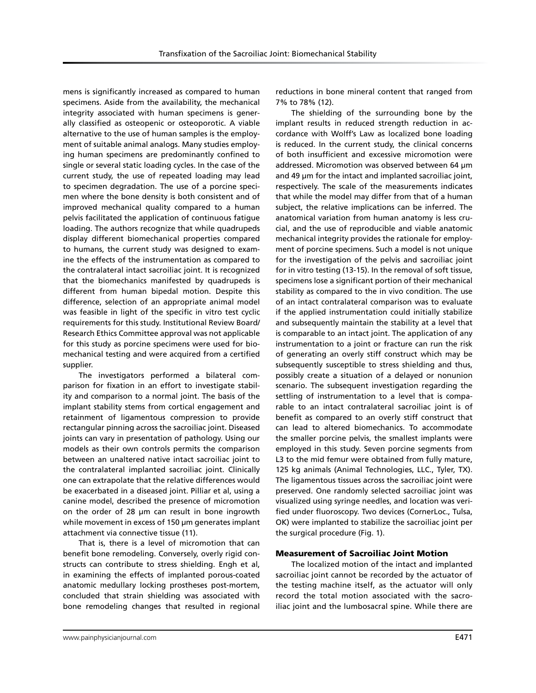mens is significantly increased as compared to human specimens. Aside from the availability, the mechanical integrity associated with human specimens is generally classified as osteopenic or osteoporotic. A viable alternative to the use of human samples is the employment of suitable animal analogs. Many studies employing human specimens are predominantly confined to single or several static loading cycles. In the case of the current study, the use of repeated loading may lead to specimen degradation. The use of a porcine specimen where the bone density is both consistent and of improved mechanical quality compared to a human pelvis facilitated the application of continuous fatigue loading. The authors recognize that while quadrupeds display different biomechanical properties compared to humans, the current study was designed to examine the effects of the instrumentation as compared to the contralateral intact sacroiliac joint. It is recognized that the biomechanics manifested by quadrupeds is different from human bipedal motion. Despite this difference, selection of an appropriate animal model was feasible in light of the specific in vitro test cyclic requirements for this study. Institutional Review Board/ Research Ethics Committee approval was not applicable for this study as porcine specimens were used for biomechanical testing and were acquired from a certified supplier.

The investigators performed a bilateral comparison for fixation in an effort to investigate stability and comparison to a normal joint. The basis of the implant stability stems from cortical engagement and retainment of ligamentous compression to provide rectangular pinning across the sacroiliac joint. Diseased joints can vary in presentation of pathology. Using our models as their own controls permits the comparison between an unaltered native intact sacroiliac joint to the contralateral implanted sacroiliac joint. Clinically one can extrapolate that the relative differences would be exacerbated in a diseased joint. Pilliar et al, using a canine model, described the presence of micromotion on the order of 28 µm can result in bone ingrowth while movement in excess of 150 µm generates implant attachment via connective tissue (11).

That is, there is a level of micromotion that can benefit bone remodeling. Conversely, overly rigid constructs can contribute to stress shielding. Engh et al, in examining the effects of implanted porous-coated anatomic medullary locking prostheses post-mortem, concluded that strain shielding was associated with bone remodeling changes that resulted in regional reductions in bone mineral content that ranged from 7% to 78% (12).

The shielding of the surrounding bone by the implant results in reduced strength reduction in accordance with Wolff's Law as localized bone loading is reduced. In the current study, the clinical concerns of both insufficient and excessive micromotion were addressed. Micromotion was observed between 64 µm and 49 µm for the intact and implanted sacroiliac joint, respectively. The scale of the measurements indicates that while the model may differ from that of a human subject, the relative implications can be inferred. The anatomical variation from human anatomy is less crucial, and the use of reproducible and viable anatomic mechanical integrity provides the rationale for employment of porcine specimens. Such a model is not unique for the investigation of the pelvis and sacroiliac joint for in vitro testing (13-15). In the removal of soft tissue, specimens lose a significant portion of their mechanical stability as compared to the in vivo condition. The use of an intact contralateral comparison was to evaluate if the applied instrumentation could initially stabilize and subsequently maintain the stability at a level that is comparable to an intact joint. The application of any instrumentation to a joint or fracture can run the risk of generating an overly stiff construct which may be subsequently susceptible to stress shielding and thus, possibly create a situation of a delayed or nonunion scenario. The subsequent investigation regarding the settling of instrumentation to a level that is comparable to an intact contralateral sacroiliac joint is of benefit as compared to an overly stiff construct that can lead to altered biomechanics. To accommodate the smaller porcine pelvis, the smallest implants were employed in this study. Seven porcine segments from L3 to the mid femur were obtained from fully mature, 125 kg animals (Animal Technologies, LLC., Tyler, TX). The ligamentous tissues across the sacroiliac joint were preserved. One randomly selected sacroiliac joint was visualized using syringe needles, and location was verified under fluoroscopy. Two devices (CornerLoc., Tulsa, OK) were implanted to stabilize the sacroiliac joint per the surgical procedure (Fig. 1).

#### Measurement of Sacroiliac Joint Motion

The localized motion of the intact and implanted sacroiliac joint cannot be recorded by the actuator of the testing machine itself, as the actuator will only record the total motion associated with the sacroiliac joint and the lumbosacral spine. While there are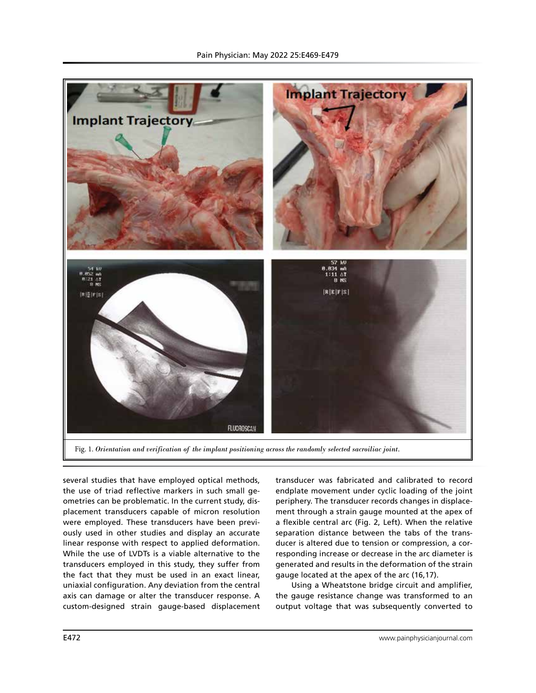

several studies that have employed optical methods, the use of triad reflective markers in such small geometries can be problematic. In the current study, displacement transducers capable of micron resolution were employed. These transducers have been previously used in other studies and display an accurate linear response with respect to applied deformation. While the use of LVDTs is a viable alternative to the transducers employed in this study, they suffer from the fact that they must be used in an exact linear, uniaxial configuration. Any deviation from the central axis can damage or alter the transducer response. A custom-designed strain gauge-based displacement transducer was fabricated and calibrated to record endplate movement under cyclic loading of the joint periphery. The transducer records changes in displacement through a strain gauge mounted at the apex of a flexible central arc (Fig. 2, Left). When the relative separation distance between the tabs of the transducer is altered due to tension or compression, a corresponding increase or decrease in the arc diameter is generated and results in the deformation of the strain gauge located at the apex of the arc (16,17).

Using a Wheatstone bridge circuit and amplifier, the gauge resistance change was transformed to an output voltage that was subsequently converted to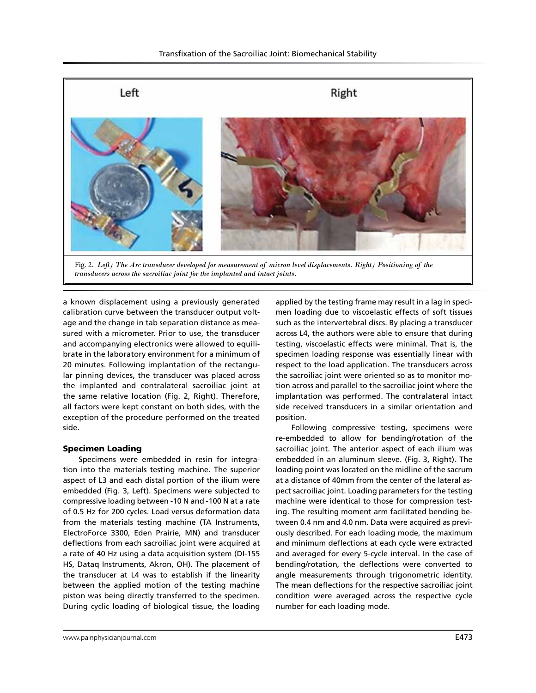

Fig. 2. *Left) The Arc transducer developed for measurement of micron level displacements. Right) Positioning of the transducers across the sacroiliac joint for the implanted and intact joints.*

a known displacement using a previously generated calibration curve between the transducer output voltage and the change in tab separation distance as measured with a micrometer. Prior to use, the transducer and accompanying electronics were allowed to equilibrate in the laboratory environment for a minimum of 20 minutes. Following implantation of the rectangular pinning devices, the transducer was placed across the implanted and contralateral sacroiliac joint at the same relative location (Fig. 2, Right). Therefore, all factors were kept constant on both sides, with the exception of the procedure performed on the treated side.

#### Specimen Loading

Specimens were embedded in resin for integration into the materials testing machine. The superior aspect of L3 and each distal portion of the ilium were embedded (Fig. 3, Left). Specimens were subjected to compressive loading between -10 N and -100 N at a rate of 0.5 Hz for 200 cycles. Load versus deformation data from the materials testing machine (TA Instruments, ElectroForce 3300, Eden Prairie, MN) and transducer deflections from each sacroiliac joint were acquired at a rate of 40 Hz using a data acquisition system (DI-155 HS, Dataq Instruments, Akron, OH). The placement of the transducer at L4 was to establish if the linearity between the applied motion of the testing machine piston was being directly transferred to the specimen. During cyclic loading of biological tissue, the loading

applied by the testing frame may result in a lag in specimen loading due to viscoelastic effects of soft tissues such as the intervertebral discs. By placing a transducer across L4, the authors were able to ensure that during testing, viscoelastic effects were minimal. That is, the specimen loading response was essentially linear with respect to the load application. The transducers across the sacroiliac joint were oriented so as to monitor motion across and parallel to the sacroiliac joint where the implantation was performed. The contralateral intact side received transducers in a similar orientation and position.

Following compressive testing, specimens were re-embedded to allow for bending/rotation of the sacroiliac joint. The anterior aspect of each ilium was embedded in an aluminum sleeve. (Fig. 3, Right). The loading point was located on the midline of the sacrum at a distance of 40mm from the center of the lateral aspect sacroiliac joint. Loading parameters for the testing machine were identical to those for compression testing. The resulting moment arm facilitated bending between 0.4 nm and 4.0 nm. Data were acquired as previously described. For each loading mode, the maximum and minimum deflections at each cycle were extracted and averaged for every 5-cycle interval. In the case of bending/rotation, the deflections were converted to angle measurements through trigonometric identity. The mean deflections for the respective sacroiliac joint condition were averaged across the respective cycle number for each loading mode.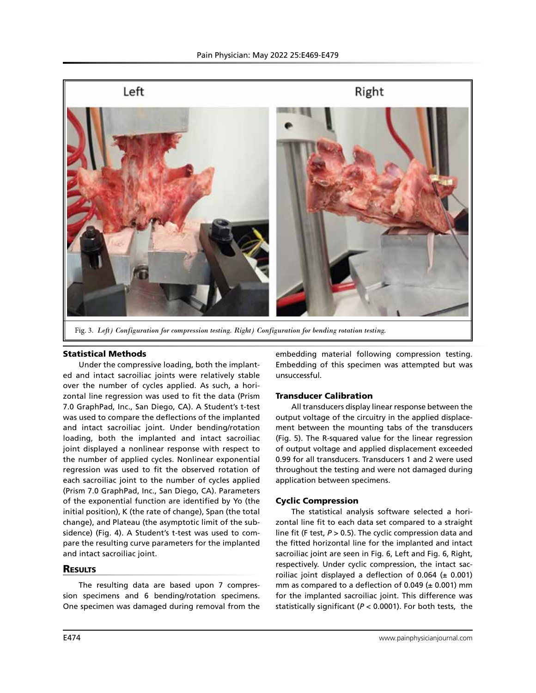

Fig. 3. *Left) Configuration for compression testing. Right) Configuration for bending rotation testing.*

## Statistical Methods

Under the compressive loading, both the implanted and intact sacroiliac joints were relatively stable over the number of cycles applied. As such, a horizontal line regression was used to fit the data (Prism 7.0 GraphPad, Inc., San Diego, CA). A Student's t-test was used to compare the deflections of the implanted and intact sacroiliac joint. Under bending/rotation loading, both the implanted and intact sacroiliac joint displayed a nonlinear response with respect to the number of applied cycles. Nonlinear exponential regression was used to fit the observed rotation of each sacroiliac joint to the number of cycles applied (Prism 7.0 GraphPad, Inc., San Diego, CA). Parameters of the exponential function are identified by Yo (the initial position), K (the rate of change), Span (the total change), and Plateau (the asymptotic limit of the subsidence) (Fig. 4). A Student's t-test was used to compare the resulting curve parameters for the implanted and intact sacroiliac joint.

## **RESULTS**

The resulting data are based upon 7 compression specimens and 6 bending/rotation specimens. One specimen was damaged during removal from the

embedding material following compression testing. Embedding of this specimen was attempted but was unsuccessful.

# Transducer Calibration

All transducers display linear response between the output voltage of the circuitry in the applied displacement between the mounting tabs of the transducers (Fig. 5). The R-squared value for the linear regression of output voltage and applied displacement exceeded 0.99 for all transducers. Transducers 1 and 2 were used throughout the testing and were not damaged during application between specimens.

#### Cyclic Compression

The statistical analysis software selected a horizontal line fit to each data set compared to a straight line fit (F test, *P* > 0.5). The cyclic compression data and the fitted horizontal line for the implanted and intact sacroiliac joint are seen in Fig. 6, Left and Fig. 6, Right, respectively. Under cyclic compression, the intact sacroiliac joint displayed a deflection of 0.064 ( $\pm$  0.001) mm as compared to a deflection of 0.049 ( $\pm$  0.001) mm for the implanted sacroiliac joint. This difference was statistically significant (*P* < 0.0001). For both tests, the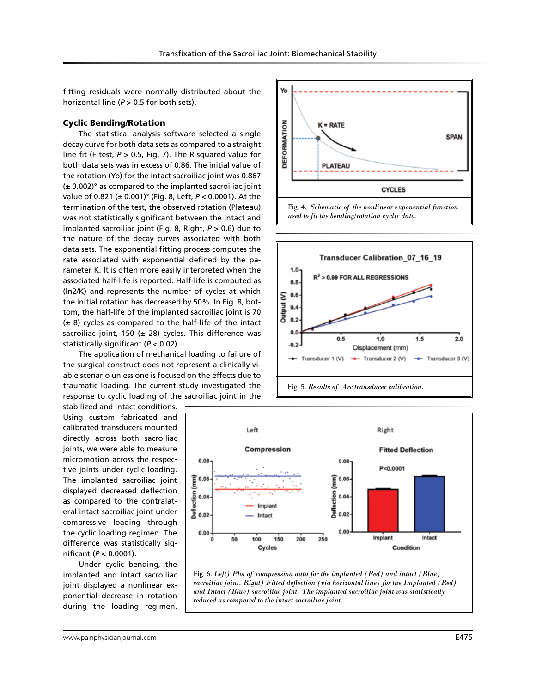fitting residuals were normally distributed about the horizontal line (*P* > 0.5 for both sets).

### Cyclic Bending/Rotation

The statistical analysis software selected a single decay curve for both data sets as compared to a straight line fit (F test, *P* > 0.5, Fig. 7). The R-squared value for both data sets was in excess of 0.86. The initial value of the rotation (Yo) for the intact sacroiliac joint was 0.867 (± 0.002)° as compared to the implanted sacroiliac joint value of 0.821 (± 0.001)° (Fig. 8, Left, *P* < 0.0001). At the termination of the test, the observed rotation (Plateau) was not statistically significant between the intact and implanted sacroiliac joint (Fig. 8, Right, *P* > 0.6) due to the nature of the decay curves associated with both data sets. The exponential fitting process computes the rate associated with exponential defined by the parameter K. It is often more easily interpreted when the associated half-life is reported. Half-life is computed as (ln2/K) and represents the number of cycles at which the initial rotation has decreased by 50%. In Fig. 8, bottom, the half-life of the implanted sacroiliac joint is 70  $(± 8)$  cycles as compared to the half-life of the intact sacroiliac joint, 150 ( $\pm$  28) cycles. This difference was statistically significant (*P* < 0.02).

The application of mechanical loading to failure of the surgical construct does not represent a clinically viable scenario unless one is focused on the effects due to traumatic loading. The current study investigated the response to cyclic loading of the sacroiliac joint in the

stabilized and intact conditions. Using custom fabricated and calibrated transducers mounted directly across both sacroiliac joints, we were able to measure micromotion across the respective joints under cyclic loading. The implanted sacroiliac joint displayed decreased deflection as compared to the contralateral intact sacroiliac joint under compressive loading through the cyclic loading regimen. The difference was statistically significant (*P* < 0.0001).

Under cyclic bending, the implanted and intact sacroiliac joint displayed a nonlinear exponential decrease in rotation during the loading regimen.







Fig. 6. *Left) Plot of compression data for the implanted (Red) and intact (Blue) sacroiliac joint. Right) Fitted deflection (via horizontal line) for the Implanted (Red) and Intact (Blue) sacroiliac joint. The implanted sacroiliac joint was statistically reduced as compared to the intact sacroiliac joint.*

www.painphysicianjournal.com **E475**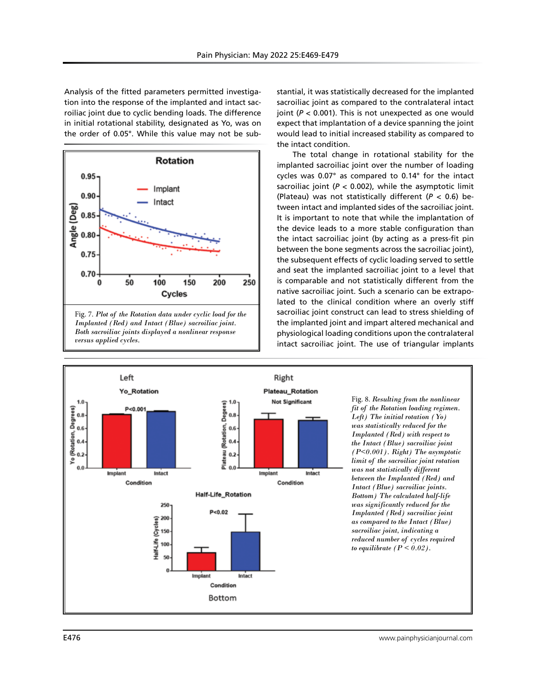Analysis of the fitted parameters permitted investigation into the response of the implanted and intact sacroiliac joint due to cyclic bending loads. The difference in initial rotational stability, designated as Yo, was on the order of 0.05°. While this value may not be sub-



stantial, it was statistically decreased for the implanted sacroiliac joint as compared to the contralateral intact joint (*P* < 0.001). This is not unexpected as one would expect that implantation of a device spanning the joint would lead to initial increased stability as compared to the intact condition.

The total change in rotational stability for the implanted sacroiliac joint over the number of loading cycles was 0.07° as compared to 0.14° for the intact sacroiliac joint ( $P < 0.002$ ), while the asymptotic limit (Plateau) was not statistically different (*P* < 0.6) between intact and implanted sides of the sacroiliac joint. It is important to note that while the implantation of the device leads to a more stable configuration than the intact sacroiliac joint (by acting as a press-fit pin between the bone segments across the sacroiliac joint), the subsequent effects of cyclic loading served to settle and seat the implanted sacroiliac joint to a level that is comparable and not statistically different from the native sacroiliac joint. Such a scenario can be extrapolated to the clinical condition where an overly stiff sacroiliac joint construct can lead to stress shielding of the implanted joint and impart altered mechanical and physiological loading conditions upon the contralateral intact sacroiliac joint. The use of triangular implants



Fig. 8. *Resulting from the nonlinear fit of the Rotation loading regimen. Left) The initial rotation (Yo) was statistically reduced for the Implanted (Red) with respect to the Intact (Blue) sacroiliac joint (P<0.001). Right) The asymptotic limit of the sacroiliac joint rotation was not statistically different between the Implanted (Red) and Intact (Blue) sacroiliac joints. Bottom) The calculated half-life was significantly reduced for the Implanted (Red) sacroiliac joint as compared to the Intact (Blue) sacroiliac joint, indicating a reduced number of cycles required to equilibrate (* $P < 0.02$ *).*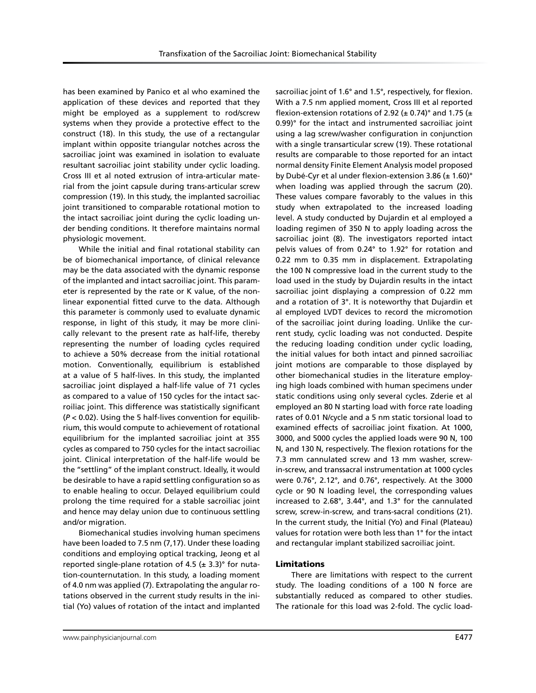has been examined by Panico et al who examined the application of these devices and reported that they might be employed as a supplement to rod/screw systems when they provide a protective effect to the construct (18). In this study, the use of a rectangular implant within opposite triangular notches across the sacroiliac joint was examined in isolation to evaluate resultant sacroiliac joint stability under cyclic loading. Cross III et al noted extrusion of intra-articular material from the joint capsule during trans-articular screw compression (19). In this study, the implanted sacroiliac joint transitioned to comparable rotational motion to the intact sacroiliac joint during the cyclic loading under bending conditions. It therefore maintains normal physiologic movement.

While the initial and final rotational stability can be of biomechanical importance, of clinical relevance may be the data associated with the dynamic response of the implanted and intact sacroiliac joint. This parameter is represented by the rate or K value, of the nonlinear exponential fitted curve to the data. Although this parameter is commonly used to evaluate dynamic response, in light of this study, it may be more clinically relevant to the present rate as half-life, thereby representing the number of loading cycles required to achieve a 50% decrease from the initial rotational motion. Conventionally, equilibrium is established at a value of 5 half-lives. In this study, the implanted sacroiliac joint displayed a half-life value of 71 cycles as compared to a value of 150 cycles for the intact sacroiliac joint. This difference was statistically significant (*P* < 0.02). Using the 5 half-lives convention for equilibrium, this would compute to achievement of rotational equilibrium for the implanted sacroiliac joint at 355 cycles as compared to 750 cycles for the intact sacroiliac joint. Clinical interpretation of the half-life would be the "settling" of the implant construct. Ideally, it would be desirable to have a rapid settling configuration so as to enable healing to occur. Delayed equilibrium could prolong the time required for a stable sacroiliac joint and hence may delay union due to continuous settling and/or migration.

Biomechanical studies involving human specimens have been loaded to 7.5 nm (7,17). Under these loading conditions and employing optical tracking, Jeong et al reported single-plane rotation of 4.5 ( $\pm$  3.3)° for nutation-counternutation. In this study, a loading moment of 4.0 nm was applied (7). Extrapolating the angular rotations observed in the current study results in the initial (Yo) values of rotation of the intact and implanted

sacroiliac joint of 1.6° and 1.5°, respectively, for flexion. With a 7.5 nm applied moment, Cross III et al reported flexion-extension rotations of 2.92 ( $\pm$  0.74)° and 1.75 ( $\pm$ 0.99)° for the intact and instrumented sacroiliac joint using a lag screw/washer configuration in conjunction with a single transarticular screw (19). These rotational results are comparable to those reported for an intact normal density Finite Element Analysis model proposed by Dubé-Cyr et al under flexion-extension 3.86 (± 1.60)° when loading was applied through the sacrum (20). These values compare favorably to the values in this study when extrapolated to the increased loading level. A study conducted by Dujardin et al employed a loading regimen of 350 N to apply loading across the sacroiliac joint (8). The investigators reported intact pelvis values of from 0.24° to 1.92° for rotation and 0.22 mm to 0.35 mm in displacement. Extrapolating the 100 N compressive load in the current study to the load used in the study by Dujardin results in the intact sacroiliac joint displaying a compression of 0.22 mm and a rotation of 3°. It is noteworthy that Dujardin et al employed LVDT devices to record the micromotion of the sacroiliac joint during loading. Unlike the current study, cyclic loading was not conducted. Despite the reducing loading condition under cyclic loading, the initial values for both intact and pinned sacroiliac joint motions are comparable to those displayed by other biomechanical studies in the literature employing high loads combined with human specimens under static conditions using only several cycles. Zderie et al employed an 80 N starting load with force rate loading rates of 0.01 N/cycle and a 5 nm static torsional load to examined effects of sacroiliac joint fixation. At 1000, 3000, and 5000 cycles the applied loads were 90 N, 100 N, and 130 N, respectively. The flexion rotations for the 7.3 mm cannulated screw and 13 mm washer, screwin-screw, and transsacral instrumentation at 1000 cycles were 0.76°, 2.12°, and 0.76°, respectively. At the 3000 cycle or 90 N loading level, the corresponding values increased to 2.68°, 3.44°, and 1.3° for the cannulated screw, screw-in-screw, and trans-sacral conditions (21). In the current study, the Initial (Yo) and Final (Plateau) values for rotation were both less than 1° for the intact and rectangular implant stabilized sacroiliac joint.

## Limitations

There are limitations with respect to the current study. The loading conditions of a 100 N force are substantially reduced as compared to other studies. The rationale for this load was 2-fold. The cyclic load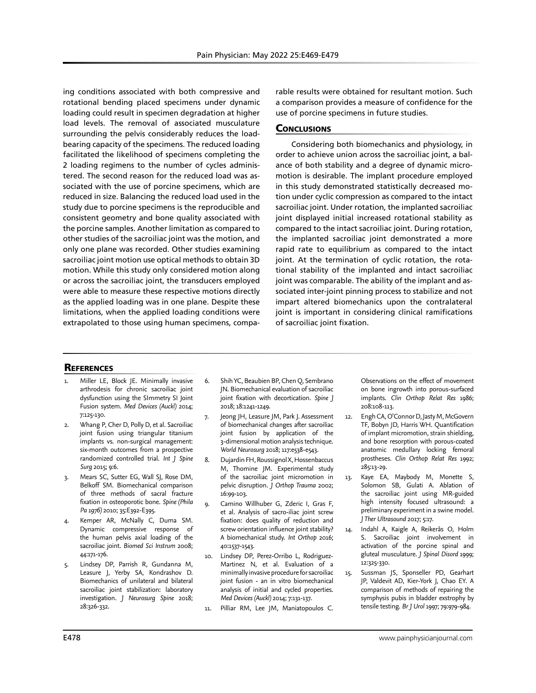ing conditions associated with both compressive and rotational bending placed specimens under dynamic loading could result in specimen degradation at higher load levels. The removal of associated musculature surrounding the pelvis considerably reduces the loadbearing capacity of the specimens. The reduced loading facilitated the likelihood of specimens completing the 2 loading regimens to the number of cycles administered. The second reason for the reduced load was associated with the use of porcine specimens, which are reduced in size. Balancing the reduced load used in the study due to porcine specimens is the reproducible and consistent geometry and bone quality associated with the porcine samples. Another limitation as compared to other studies of the sacroiliac joint was the motion, and only one plane was recorded. Other studies examining sacroiliac joint motion use optical methods to obtain 3D motion. While this study only considered motion along or across the sacroiliac joint, the transducers employed were able to measure these respective motions directly as the applied loading was in one plane. Despite these limitations, when the applied loading conditions were extrapolated to those using human specimens, comparable results were obtained for resultant motion. Such a comparison provides a measure of confidence for the use of porcine specimens in future studies.

# **CONCLUSIONS**

Considering both biomechanics and physiology, in order to achieve union across the sacroiliac joint, a balance of both stability and a degree of dynamic micromotion is desirable. The implant procedure employed in this study demonstrated statistically decreased motion under cyclic compression as compared to the intact sacroiliac joint. Under rotation, the implanted sacroiliac joint displayed initial increased rotational stability as compared to the intact sacroiliac joint. During rotation, the implanted sacroiliac joint demonstrated a more rapid rate to equilibrium as compared to the intact joint. At the termination of cyclic rotation, the rotational stability of the implanted and intact sacroiliac joint was comparable. The ability of the implant and associated inter-joint pinning process to stabilize and not impart altered biomechanics upon the contralateral joint is important in considering clinical ramifications of sacroiliac joint fixation.

# **REFERENCES**

- Miller LE, Block JE. Minimally invasive arthrodesis for chronic sacroiliac joint dysfunction using the SImmetry SI Joint Fusion system. *Med Devices (Auckl)* 2014; 7:125-130.
- 2. Whang P, Cher D, Polly D, et al. Sacroiliac joint fusion using triangular titanium implants vs. non-surgical management: six-month outcomes from a prospective randomized controlled trial. *Int J Spine Surg* 2015; 9:6.
- Mears SC, Sutter EG, Wall SJ, Rose DM, Belkoff SM. Biomechanical comparison of three methods of sacral fracture fixation in osteoporotic bone. *Spine (Phila Pa 1976)* 2010; 35:E392-E395.
- 4. Kemper AR, McNally C, Duma SM. Dynamic compressive response of the human pelvis axial loading of the sacroiliac joint. *Biomed Sci Instrum* 2008; 44:171-176.
- 5. Lindsey DP, Parrish R, Gundanna M, Leasure J, Yerby SA, Kondrashov D. Biomechanics of unilateral and bilateral sacroiliac joint stabilization: laboratory investigation. *J Neurosurg Spine* 2018; 28:326-332.
- Shih YC, Beaubien BP, Chen Q, Sembrano JN. Biomechanical evaluation of sacroiliac joint fixation with decortication. *Spine J* 2018; 18:1241-1249.
- 7. Jeong JH, Leasure JM, Park J. Assessment of biomechanical changes after sacroiliac joint fusion by application of the 3-dimensional motion analysis technique. *World Neurosurg* 2018; 117:e538-e543.
- 8. Dujardin FH, Roussignol X, Hossenbaccus M, Thomine JM. Experimental study of the sacroiliac joint micromotion in pelvic disruption. *J Orthop Trauma* 2002; 16:99-103.
- 9. Camino Willhuber G, Zderic I, Gras F, et al. Analysis of sacro-iliac joint screw fixation: does quality of reduction and screw orientation influence joint stability? A biomechanical study. *Int Orthop* 2016; 40:1537-1543.
- 10. Lindsey DP, Perez-Orribo L, Rodriguez-Martinez N, et al. Evaluation of a minimally invasive procedure for sacroiliac joint fusion - an in vitro biomechanical analysis of initial and cycled properties. *Med Devices (Auckl)* 2014; 7:131-137.
- 11. Pilliar RM, Lee JM, Maniatopoulos C.

Observations on the effect of movement on bone ingrowth into porous-surfaced implants. *Clin Orthop Relat Res* 1986; 208:108-113.

- 12. Engh CA, O'Connor D, Jasty M, McGovern TF, Bobyn JD, Harris WH. Quantification of implant micromotion, strain shielding, and bone resorption with porous-coated anatomic medullary locking femoral prostheses. *Clin Orthop Relat Res* 1992; 285:13-29.
- 13. Kaye EA, Maybody M, Monette S, Solomon SB, Gulati A. Ablation of the sacroiliac joint using MR-guided high intensity focused ultrasound: a preliminary experiment in a swine model. *J Ther Ultrasound* 2017; 5:17.
- 14. Indahl A, Kaigle A, Reikerås O, Holm S. Sacroiliac joint involvement in activation of the porcine spinal and gluteal musculature. *J Spinal Disord* 1999; 12:325-330.
- 15. Sussman JS, Sponseller PD, Gearhart JP, Valdevit AD, Kier-York J, Chao EY. A comparison of methods of repairing the symphysis pubis in bladder exstrophy by tensile testing. *Br J Urol* 1997; 79:979-984.